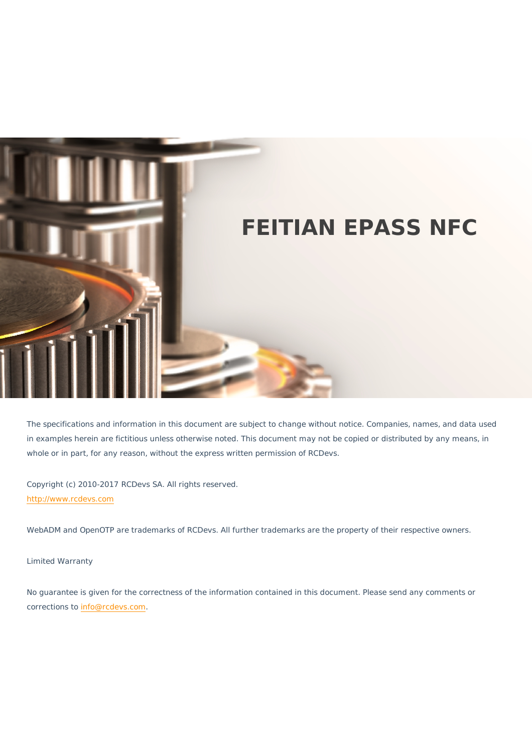

The specifications and information in this document are subject to change without notice. Companies, names, and data used in examples herein are fictitious unless otherwise noted. This document may not be copied or distributed by any means, in whole or in part, for any reason, without the express written permission of RCDevs.

Copyright (c) 2010-2017 RCDevs SA. All rights reserved. [http://www.rcdevs.com](http://www.rcdevs.com/)

WebADM and OpenOTP are trademarks of RCDevs. All further trademarks are the property of their respective owners.

Limited Warranty

No guarantee is given for the correctness of the information contained in this document. Please send any comments or corrections to [info@rcdevs.com](mailto:info@rcdevs.com).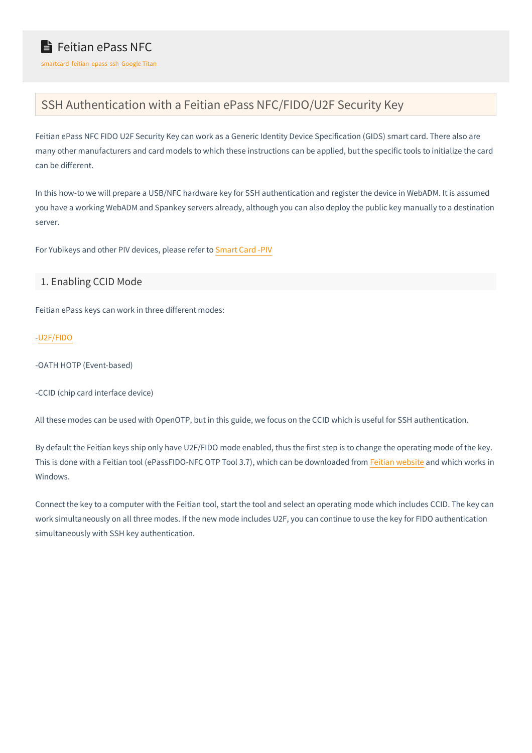# SSH Authentication with a Feitian ePass NFC/FIDO/U2F Security Key

Feitian ePass NFC FIDO U2F Security Key can work as a Generic Identity Device Specification (GIDS) smart card. There also are many other manufacturers and card models to which these instructions can be applied, but the specific tools to initialize the card can be different.

In this how-to we will prepare a USB/NFC hardware key for SSH authentication and register the device in WebADM. It is assumed you have a working WebADM and Spankey servers already, although you can also deploy the public key manually to a destination server.

For Yubikeys and other PIV devices, please refer to [Smart](https://www.rcdevs.com/docs/howtos/piv/piv/) Card -PIV

## 1. Enabling CCID Mode

Feitian ePass keys can work in three different modes:

## [-U2F/FIDO](https://www.rcdevs.com/docs/howtos/openotp_u2f/openotp_u2f/)

-OATH HOTP (Event-based)

-CCID (chip card interface device)

All these modes can be used with OpenOTP, but in this guide, we focus on the CCID which is useful for SSH authentication.

By default the Feitian keys ship only have U2F/FIDO mode enabled, thus the first step is to change the operating mode of the key. This is done with a Feitian tool (ePassFIDO-NFC OTP Tool 3.7), which can be downloaded from Feitian [website](https://www.ftsafe.com/services/Resources?tree_id=209) and which works in Windows.

Connect the key to a computer with the Feitian tool, start the tool and select an operating mode which includes CCID. The key can work simultaneously on allthree modes. If the new mode includes U2F, you can continue to use the key for FIDO authentication simultaneously with SSH key authentication.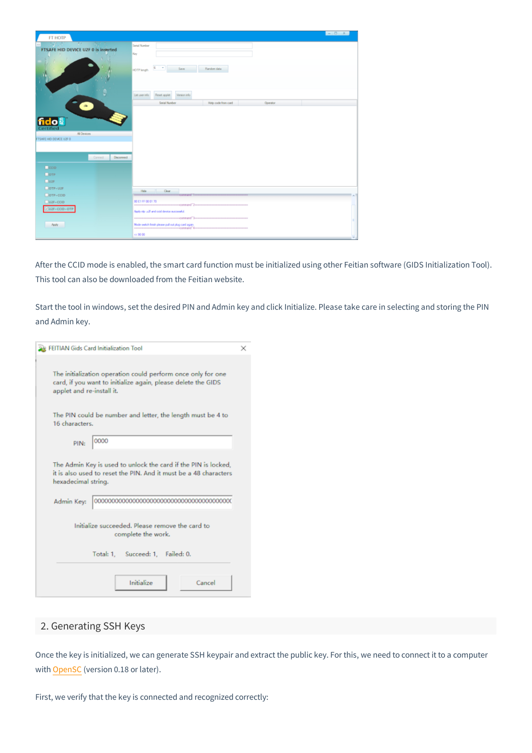| <b>FT HOTP</b>                                                                                 |                                                           | $ \circ$ $x$ |
|------------------------------------------------------------------------------------------------|-----------------------------------------------------------|--------------|
| $21 - 31 + 1$<br><b>BUY 187</b>                                                                | Senal Number                                              |              |
| FTSAFE HID DEVICE U2F 0 is inserted                                                            | Key                                                       |              |
|                                                                                                | $\sim$<br>×<br>Says:<br>Random data<br>HOTP length        |              |
|                                                                                                | Reset applet<br>Version info<br>List user info            |              |
| $\bullet$                                                                                      | Holp code from card<br>Serial Number<br><b>Operator</b>   |              |
| <b>fido a</b><br>Certified<br>Al Devices<br>FTSAFE HID DEVICE UZF 0<br>Connect.<br>Disconnect. |                                                           |              |
| $\Box$ ccip                                                                                    |                                                           |              |
| $\Box$ ore                                                                                     |                                                           |              |
| 202F                                                                                           |                                                           |              |
| $OTP + U2F$                                                                                    | Hde Clear                                                 |              |
| $\Box$ OTP + CCID                                                                              | accessors in contact Terror                               | 1 a 1        |
| $ $ U2F+CCID                                                                                   | 80 E1 FF 00 01 70                                         |              |
| $-$ U2F+CCID+OTP                                                                               | Apply otp will and cold device successful.                |              |
| <b>Apply</b>                                                                                   | --<br>Mode switch finish please pull out plug card again. |              |
|                                                                                                | cc 90 00                                                  |              |

After the CCID mode is enabled, the smart card function must be initialized using other Feitian software (GIDS Initialization Tool). This tool can also be downloaded from the Feitian website.

Start the tool in windows, set the desired PIN and Admin key and click Initialize. Please take care in selecting and storing the PIN and Admin key.

| <b>RefELTIAN Gids Card Initialization Tool</b>                                                                                                             | × |
|------------------------------------------------------------------------------------------------------------------------------------------------------------|---|
| The initialization operation could perform once only for one<br>card, if you want to initialize again, please delete the GIDS<br>applet and re-install it. |   |
| The PIN could be number and letter, the length must be 4 to<br>16 characters.                                                                              |   |
| 0000<br>PIN:                                                                                                                                               |   |
| The Admin Key is used to unlock the card if the PIN is locked,<br>it is also used to reset the PIN. And it must be a 48 characters<br>hexadecimal string.  |   |
|                                                                                                                                                            |   |
| Initialize succeeded. Please remove the card to<br>complete the work.                                                                                      |   |
| Total: 1. Succeed: 1. Failed: 0.                                                                                                                           |   |
| Initialize<br>Cancel                                                                                                                                       |   |

## 2. Generating SSH Keys

Once the key is initialized, we can generate SSH keypair and extract the public key. For this, we need to connect it to a computer with [OpenSC](https://github.com/OpenSC/OpenSC/wiki) (version 0.18 or later).

First, we verify that the key is connected and recognized correctly: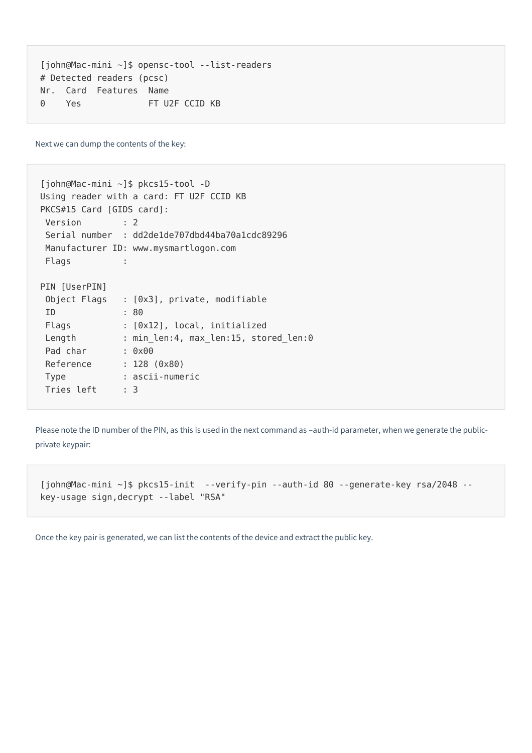```
[john@Mac-mini ~]$ opensc-tool --list-readers
Nr. Card Features Name
0 Yes FT U2F CCID KB
# Detected readers (pcsc)
```
Next we can dump the contents of the key:

```
[john@Mac-mini ~]$ pkcs15-tool -D
Using reader with a card: FT U2F CCID KB
PKCS
#15 Card [GIDS card]:
Version : 2
Serial number : dd2de1de707dbd44ba70a1cdc89296
Manufacturer ID: www.mysmartlogon.com
Flags :
PIN [UserPIN]
Object Flags : [0x3], private, modifiable
ID : 80
 Flags             : [0x12], local, initialized
Length : min len:4, max len:15, stored len:0
Pad char : 0x00
Reference : 128 (0x80)
Type : ascii-numeric
Tries left : 3
```
Please note the ID number of the PIN, as this is used in the next command as -auth-id parameter, when we generate the publicprivate keypair:

```
[john@Mac-mini ~]$ pkcs15-init --verify-pin --auth-id 80 --generate-key rsa/2048 --
key-usage sign,decrypt --label "RSA"
```
Once the key pair is generated, we can list the contents of the device and extract the public key.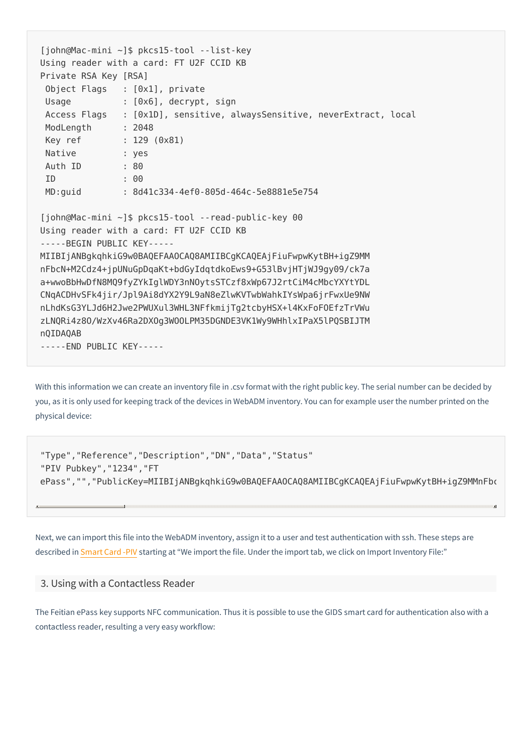```
[john@Mac-mini ~]$ pkcs15-tool --list-key
Using reader with a card: FT U2F CCID KB
Private RSA Key [RSA]
Object Flags : [0x1], private
Usage : [0x6], decrypt, sign
 Access Flags : [0x1D], sensitive, alwaysSensitive, neverExtract,
local
ModLength : 2048
Key ref : 129 (0x81)
Native : yes
Auth ID : 80
ID : 00
MD:guid : 8d41c334-4ef0-805d-464c-5e8881e5e754
[john@Mac-mini ~]$ pkcs15-tool --read-public-key 00
Using reader with a card: FT U2F CCID KB
-----BEGIN PUBLIC KEY-----
MIIBIjANBgkqhkiG9w0BAQEFAAOCAQ8AMIIBCgKCAQEAjFiuFwpwKytBH+igZ9MM
nFbcN+M2Cdz4+jpUNuGpDqaKt+bdGyIdqtdkoEws9+G53lBvjHTjWJ9gy09/ck7a
a+wwoBbHwDfN8MQ9fyZYkIglWDY3nNOytsSTCzf8xWp67J2rtCiM4cMbcYXYtYDL
CNqACDHvSFk4jir/Jpl9Ai8dYX2Y9L9aN8eZlwKVTwbWahkIYsWpa6jrFwxUe9NW
nLhdKsG3YLJd6H2Jwe2PWUXul3WHL3NFfkmijTg2tcbyHSX+l4KxFoFOEfzTrVWu
zLNQRi4z8O/WzXv46Ra2DXOg3WOOLPM35DGNDE3VK1Wy9WHhlxIPaX5lPQSBIJTM
nQIDAQAB
-----END PUBLIC KEY-----
```
With this information we can create an inventory file in .csv format with the right public key. The serial number can be decided by you, as it is only used for keeping track of the devices in WebADM inventory. You can for example user the number printed on the physical device:

```
"Type","Reference","Description","DN","Data","Status"
"PIV Pubkey","1234","FT
ePass","","PublicKey=MIIBIjANBgkqhkiG9w0BAQEFAAOCAQ8AMIIBCgKCAQEAjFiuFwpwKytBH+igZ9MMnFb‹
```
×

Next, we can import this file into the WebADM inventory, assign it to a user and test authentication with ssh. These steps are described in [Smart](https://www.rcdevs.com/docs/howtos/piv/piv/) Card -PIV starting at "We import the file. Under the import tab, we click on Import Inventory File:"

#### 3. Using with a Contactless Reader

The Feitian ePass key supports NFC communication. Thus it is possible to use the GIDS smart card for authentication also with a contactless reader, resulting a very easy workflow: